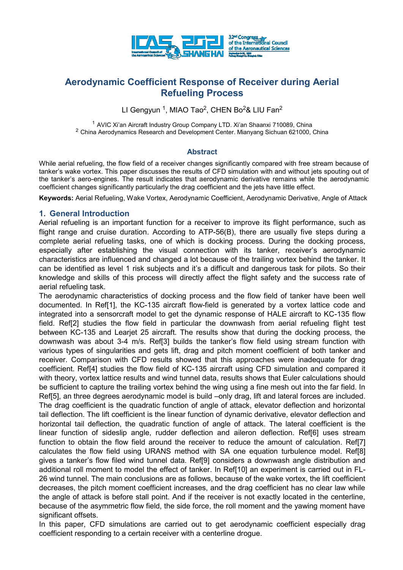

# **Aerodynamic Coefficient Response of Receiver during Aerial Refueling Process**

LI Gengyun <sup>1</sup>, MIAO Tao<sup>2</sup>, CHEN Bo<sup>2</sup>& LIU Fan<sup>2</sup>

<sup>1</sup> AVIC Xi'an Aircraft Industry Group Company LTD. Xi'an Shaanxi 710089, China <sup>2</sup> China Aerodynamics Research and Development Center. Mianyang Sichuan 621000, China

#### **Abstract**

While aerial refueling, the flow field of a receiver changes significantly compared with free stream because of tanker's wake vortex. This paper discusses the results of CFD simulation with and without jets spouting out of the tanker's aero-engines. The result indicates that aerodynamic derivative remains while the aerodynamic coefficient changes significantly particularly the drag coefficient and the jets have little effect.

**Keywords:** Aerial Refueling, Wake Vortex, Aerodynamic Coefficient, Aerodynamic Derivative, Angle of Attack

#### **1. General Introduction**

Aerial refueling is an important function for a receiver to improve its flight performance, such as flight range and cruise duration. According to ATP-56(B), there are usually five steps during a complete aerial refueling tasks, one of which is docking process. During the docking process, especially after establishing the visual connection with its tanker, receiver's aerodynamic characteristics are influenced and changed a lot because of the trailing vortex behind the tanker. It can be identified as level 1 risk subjects and it's a difficult and dangerous task for pilots. So their knowledge and skills of this process will directly affect the flight safety and the success rate of aerial refueling task.

The aerodynamic characteristics of docking process and the flow field of tanker have been well documented. In Ref[1], the KC-135 aircraft flow-field is generated by a vortex lattice code and integrated into a sensorcraft model to get the dynamic response of HALE aircraft to KC-135 flow field. Ref[2] studies the flow field in particular the downwash from aerial refueling flight test between KC-135 and Learjet 25 aircraft. The results show that during the docking process, the downwash was about 3-4 m/s. Ref[3] builds the tanker's flow field using stream function with various types of singularities and gets lift, drag and pitch moment coefficient of both tanker and receiver. Comparison with CFD results showed that this approaches were inadequate for drag coefficient. Ref[4] studies the flow field of KC-135 aircraft using CFD simulation and compared it with theory, vortex lattice results and wind tunnel data, results shows that Euler calculations should be sufficient to capture the trailing vortex behind the wing using a fine mesh out into the far field. In Ref[5], an three degrees aerodynamic model is build –only drag, lift and lateral forces are included. The drag coefficient is the quadratic function of angle of attack, elevator deflection and horizontal tail deflection. The lift coefficient is the linear function of dynamic derivative, elevator deflection and horizontal tail deflection, the quadratic function of angle of attack. The lateral coefficient is the linear function of sideslip angle, rudder deflection and aileron deflection. Ref[6] uses stream function to obtain the flow field around the receiver to reduce the amount of calculation. Ref[7] calculates the flow field using URANS method with SA one equation turbulence model. Ref[8] gives a tanker's flow filed wind tunnel data. Ref[9] considers a downwash angle distribution and additional roll moment to model the effect of tanker. In Ref[10] an experiment is carried out in FL-26 wind tunnel. The main conclusions are as follows, because of the wake vortex, the lift coefficient decreases, the pitch moment coefficient increases, and the drag coefficient has no clear law while the angle of attack is before stall point. And if the receiver is not exactly located in the centerline, because of the asymmetric flow field, the side force, the roll moment and the yawing moment have significant offsets.

In this paper, CFD simulations are carried out to get aerodynamic coefficient especially drag coefficient responding to a certain receiver with a centerline drogue.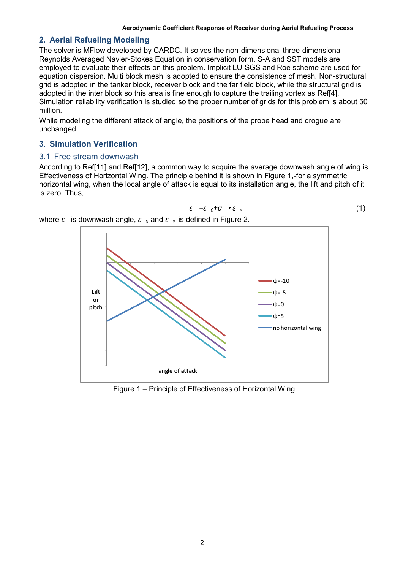*ε =ε <sup>0</sup>+α* ·*ε <sup>α</sup>* (1)

## **2. Aerial Refueling Modeling**

The solver is MFlow developed by CARDC. It solves the non-dimensional three-dimensional Reynolds Averaged Navier-Stokes Equation in conservation form. S-A and SST models are employed to evaluate their effects on this problem. Implicit LU-SGS and Roe scheme are used for equation dispersion. Multi block mesh is adopted to ensure the consistence of mesh. Non-structural grid is adopted in the tanker block, receiver block and the far field block, while the structural grid is adopted in the inter block so this area is fine enough to capture the trailing vortex as Ref[4]. Simulation reliability verification is studied so the proper number of grids for this problem is about 50 million.

While modeling the different attack of angle, the positions of the probe head and drogue are unchanged.

### **3. Simulation Verification**

## 3.1 Free stream downwash

According to Ref[11] and Ref[12], a common way to acquire the average downwash angle of wing is Effectiveness of Horizontal Wing. The principle behind it is shown in [Figure 1](#page-1-0),-for a symmetric horizontal wing, when the local angle of attack is equal to its installation angle, the lift and pitch of it is zero. Thus,



where *ε* is downwash angle, *ε <sup>0</sup>* and *ε <sup>α</sup>* is defined in [Figure 2](#page-2-0).

<span id="page-1-0"></span>Figure 1 – Principle of Effectiveness of Horizontal Wing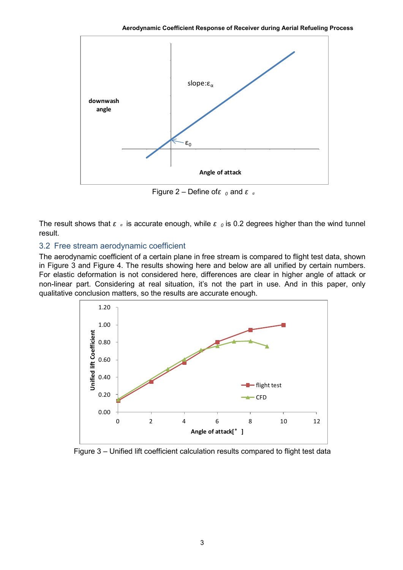

Figure 2 – Define of*ε <sup>0</sup>* and *ε <sup>α</sup>*

<span id="page-2-0"></span>The result shows that *ε <sup>α</sup>* is accurate enough, while *ε <sup>0</sup>* is 0.2 degrees higher than the wind tunnel result.

## 3.2 Free stream aerodynamic coefficient

The aerodynamic coefficient of a certain plane in free stream is compared to flight test data, shown in [Figure 3](#page-2-1) and [Figure 4](#page-3-0). The results showing here and below are all unified by certain numbers. For elastic deformation is not considered here, differences are clear in higher angle of attack or non-linear part. Considering at real situation, it's not the part in use. And in this paper, only qualitative conclusion matters, so the results are accurate enough.



<span id="page-2-1"></span>Figure 3 – Unified lift coefficient calculation results compared to flight test data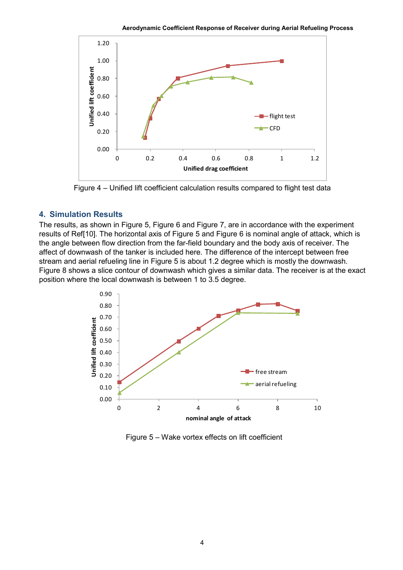**Aerodynamic Coefficient Response of Receiver during Aerial Refueling Process**



Figure 4 – Unified lift coefficient calculation results compared to flight test data

### <span id="page-3-0"></span>**4. Simulation Results**

The results, as shown in [Figure 5,](#page-3-1) [Figure 6](#page-4-0) and [Figure 7,](#page-4-1) are in accordance with the experiment results of Ref[10]. The horizontal axis of [Figure 5](#page-3-1) and [Figure 6](#page-4-0) is nominal angle of attack, which is the angle between flow direction from the far-field boundary and the body axis of receiver. The affect of downwash of the tanker is included here. The difference of the intercept between free stream and aerial refueling line in [Figure 5](#page-3-1) is about 1.2 degree which is mostly the downwash. [Figure 8](#page-5-0) shows a slice contour of downwash which gives a similar data. The receiver is at the exact position where the local downwash is between 1 to 3.5 degree.



<span id="page-3-1"></span>Figure 5 – Wake vortex effects on lift coefficient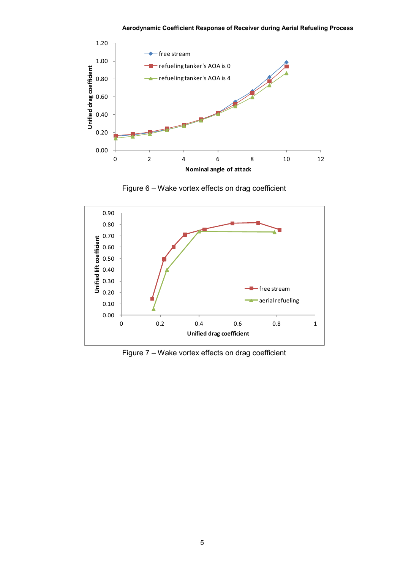

Figure 6 – Wake vortex effects on drag coefficient

<span id="page-4-0"></span>

<span id="page-4-1"></span>Figure 7 – Wake vortex effects on drag coefficient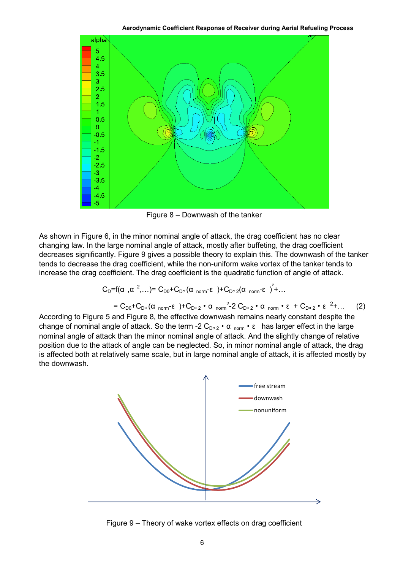**Aerodynamic Coefficient Response of Receiver during Aerial Refueling Process**



Figure 8 – Downwash of the tanker

<span id="page-5-0"></span>As shown in [Figure 6,](#page-4-0) in the minor nominal angle of attack, the drag coefficient has no clear changing law. In the large nominal angle of attack, mostly after buffeting, the drag coefficient decreases significantly. [Figure 9](#page-5-1) gives a possible theory to explain this. The downwash of the tanker tends to decrease the drag coefficient, while the non-uniform wake vortex of the tanker tends to increase the drag coefficient. The drag coefficient is the quadratic function of angle of attack.

$$
C_{D} = f(\alpha, \alpha^{2}, \ldots) = C_{D0} + C_{D^{\alpha}}(\alpha \text{ norm-} \epsilon) + C_{D^{\alpha} 2}(\alpha \text{ norm-} \epsilon)^{2} + \ldots
$$

$$
= C_{D0} + C_{D^{\alpha}} (\alpha_{norm} - \epsilon) + C_{D^{\alpha} 2} \cdot \alpha_{norm}^2 - 2 C_{D^{\alpha} 2} \cdot \alpha_{norm} \cdot \epsilon + C_{D^{\alpha} 2} \cdot \epsilon^{2} + ... \qquad (2)
$$

According to [Figure 5](#page-3-1) and [Figure 8,](#page-5-0) the effective downwash remains nearly constant despite the change of nominal angle of attack. So the term -2  $C_{D^{\alpha} 2} \cdot \alpha_{norm} \cdot \epsilon$  has larger effect in the large nominal angle of attack than the minor nominal angle of attack. And the slightly change of relative position due to the attack of angle can be neglected. So, in minor nominal angle of attack, the drag is affected both at relatively same scale, but in large nominal angle of attack, it is affected mostly by the downwash.



<span id="page-5-1"></span>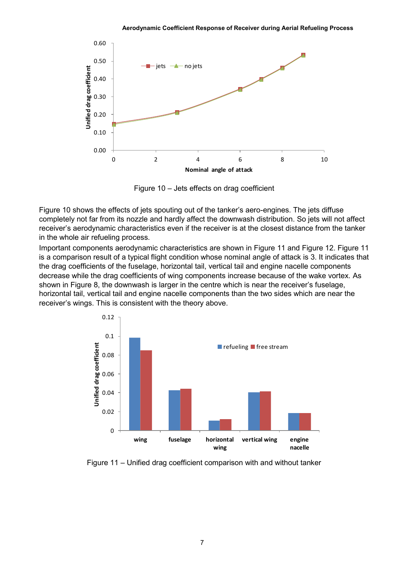

Figure 10 – Jets effects on drag coefficient

<span id="page-6-0"></span>[Figure 10](#page-6-0) shows the effects of jets spouting out of the tanker's aero-engines. The jets diffuse completely not far from its nozzle and hardly affect the downwash distribution. So jets will not affect receiver's aerodynamic characteristics even if the receiver is at the closest distance from the tanker in the whole air refueling process.

Important components aerodynamic characteristics are shown in [Figure 11](#page-6-1) and [Figure 12.](#page-7-0) [Figure 11](#page-6-1) is a comparison result of a typical flight condition whose nominal angle of attack is 3. It indicates that the drag coefficients of the fuselage, horizontal tail, vertical tail and engine nacelle components decrease while the drag coefficients of wing components increase because of the wake vortex. As shown in [Figure 8,](#page-5-0) the downwash is larger in the centre which is near the receiver's fuselage, horizontal tail, vertical tail and engine nacelle components than the two sides which are near the receiver's wings. This is consistent with the theory above.



<span id="page-6-1"></span>Figure 11 – Unified drag coefficient comparison with and without tanker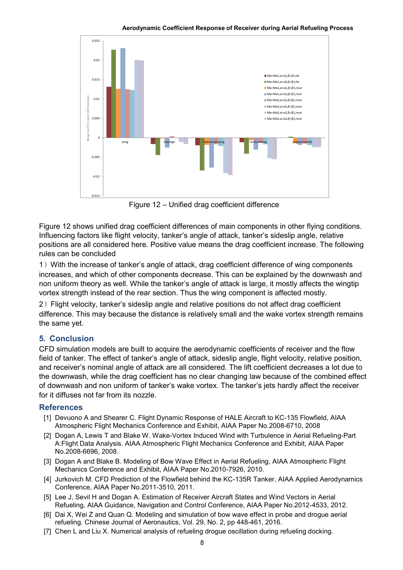

Figure 12 – Unified drag coefficient difference

<span id="page-7-0"></span>[Figure 12](#page-7-0) shows unified drag coefficient differences of main components in other flying conditions. Influencing factors like flight velocity, tanker's angle of attack, tanker's sideslip angle, relative positions are all considered here. Positive value means the drag coefficient increase. The following rules can be concluded

1) With the increase of tanker's angle of attack, drag coefficient difference of wing components increases, and which of other components decrease. This can be explained by the downwash and non uniform theory as well. While the tanker's angle of attack is large, it mostly affects the wingtip vortex strength instead of the rear section. Thus the wing component is affected mostly.

2)Flight velocity, tanker's sideslip angle and relative positions do not affect drag coefficient difference. This may because the distance is relatively small and the wake vortex strength remains the same yet.

## **5. Conclusion**

CFD simulation models are built to acquire the aerodynamic coefficients of receiver and the flow field of tanker. The effect of tanker's angle of attack, sideslip angle, flight velocity, relative position, and receiver's nominal angle of attack are all considered. The lift coefficient decreases a lot due to the downwash, while the drag coefficient has no clear changing law because of the combined effect of downwash and non uniform of tanker's wake vortex. The tanker's jets hardly affect the receiver for it diffuses not far from its nozzle.

## **References**

- [1] Devuono A and Shearer C. Flight Dynamic Response of HALE Aircraft to KC-135 Flowfield, AIAA Atmospheric Flight Mechanics Conference and Exhibit, AIAA Paper No.2008-6710, 2008
- [2] Dogan A, Lewis T and Blake W. Wake-Vortex Induced Wind with Turbulence in Aerial Refueling-Part A:Flight Data Analysis. AIAA Atmospheric Flight Mechanics Conference and Exhibit, AIAA Paper No.2008-6696, 2008.
- [3] Dogan A and Blake B. Modeling of Bow Wave Effect in Aerial Refueling, AIAA Atmospheric Flight Mechanics Conference and Exhibit, AIAA Paper No.2010-7926, 2010.
- [4] Jurkovich M. CFD Prediction of the Flowfield behind the KC-135R Tanker, AIAA Applied Aerodynamics Conference, AIAA Paper No.2011-3510, 2011.
- [5] Lee J, Sevil H and Dogan A. Estimation of Receiver Aircraft States and Wind Vectors in Aerial Refueling, AIAA Guidance, Navigation and Control Conference, AIAA Paper No.2012-4533, 2012.
- [6] Dai X, Wei Z and Quan Q. Modeling and simulation of bow wave effect in probe and drogue aerial refueling. Chinese Journal of Aeronautics, Vol. 29, No. 2, pp 448-461, 2016.
- [7] Chen L and Liu X. Numerical analysis of refueling drogue oscillation during refueling docking.